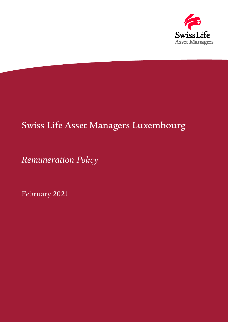

# Swiss Life Asset Managers Luxembourg

*Remuneration Policy*

February 2021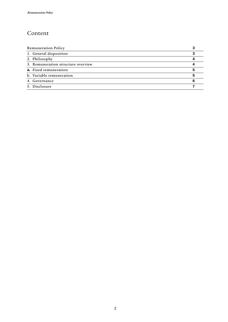### Content

| <b>Remuneration Policy</b>         |  |
|------------------------------------|--|
| 1. General disposition             |  |
| 2. Philosophy                      |  |
| 3. Remuneration structure overview |  |
| a. Fixed remuneration              |  |
| b. Variable remuneration           |  |
| 4. Governance                      |  |
| 5. Disclosure                      |  |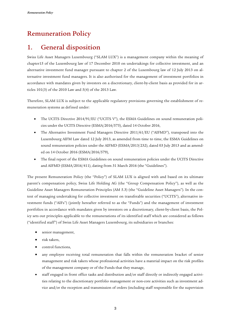# <span id="page-2-0"></span>Remuneration Policy

#### <span id="page-2-1"></span>1. General disposition

Swiss Life Asset Managers Luxembourg ("SLAM LUX") is a management company within the meaning of chapter15 of the Luxembourg law of 17 December 2010 on undertakings for collective investment, and an alternative investment fund manager pursuant to chapter 2 of the Luxembourg law of 12 July 2013 on alternative investment fund managers. It is also authorised for the management of investment portfolios in accordance with mandates given by investors on a discretionary, client-by-client basis as provided for in articles 101(3) of the 2010 Law and 5(4) of the 2013 Law.

Therefore, SLAM LUX is subject to the applicable regulatory provisions governing the establishment of remuneration systems as defined under:

- The UCITS Directive 2014/91/EU ("UCITS V"), the ESMA Guidelines on sound remuneration policies under the UCITS Directive (ESMA/2016/575), dated 14 October 2016,
- The Alternative Investment Fund Managers Directive 2011/61/EU ("AIFMD"), transposed into the Luxembourg AIFM Law dated 12 July 2013, as amended from time to time, the ESMA Guidelines on sound remuneration policies under the AIFMD (ESMA/2013/232), dated 03 July 2013 and as amended on 14 October 2016 (ESMA/2016/579),
- The final report of the ESMA Guidelines on sound remuneration policies under the UCITS Directive and AIFMD (ESMA/2016/411), dating from 31 March 2016 (the "Guidelines").

The present Remuneration Policy (the "Policy") of SLAM LUX is aligned with and based on its ultimate parent's compensation policy, Swiss Life Holding AG (the "Group Compensation Policy"), as well as the Guideline Asset Managers Remuneration Principles (AM 5.3) (the "Guideline Asset Managers"). In the context of managing undertaking for collective investment on transferable securities ("UCITS"), alternative investment funds ("AIFs") (jointly hereafter referred to as the "Funds") and the management of investment portfolios in accordance with mandates given by investors on a discretionary, client-by-client basis, the Policy sets out principles applicable to the remunerations of its identified staff which are considered as follows ("identified staff") of Swiss Life Asset Managers Luxembourg, its subsidiaries or branches:

- senior management,
- risk takers,
- control functions,
- any employee receiving total remuneration that falls within the remuneration bracket of senior management and risk takers whose professional activities have a material impact on the risk profiles of the management company or of the Funds that they manage,
- staff engaged in front office tasks and distribution and/or staff directly or indirectly engaged activities relating to the discretionary portfolio management or non-core activities such as investment advice and/or the reception and transmission of orders (including staff responsible for the supervision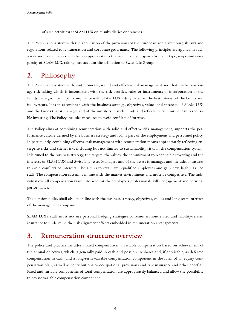of such activities) at SLAM LUX or its subsidiaries or branches.

The Policy is consistent with the application of the provisions of the European and Luxemburgish laws and regulations related to remuneration and corporate governance. The following principles are applied in such a way and to such an extent that is appropriate to the size, internal organization and type, scope and complexity of SLAM LUX, taking into account the affiliation to Swiss Life Group.

# <span id="page-3-0"></span>2. Philosophy

The Policy is consistent with, and promotes, sound and effective risk management and that neither encourage risk taking which is inconsistent with the risk profiles, rules or instruments of incorporation of the Funds managed nor impair compliance with SLAM LUX's duty to act in the best interest of the Funds and its investors. It is in accordance with the business strategy, objectives, values and interests of SLAM LUX and the Funds that it manages and of the investors in such Funds and reflects its commitment to responsible investing. The Policy includes measures to avoid conflicts of interest.

The Policy aims at combining remuneration with solid and effective risk management, supports the performance culture defined by the business strategy and forms part of the employment and personnel policy. In particularly, combining effective risk management with remuneration means appropriately reflecting enterprise risks and client risks including but not limited to sustainability risks in the compensation system. It is tuned to the business strategy, the targets, the values, the commitment to responsible investing and the interests of SLAM LUX and Swiss Life Asset Managers and of the assets it manages and includes measures to avoid conflicts of interests. The aim is to retain well-qualified employees and gain new, highly skilled staff. The compensation system is in line with the market environment and must be competitive. The individual overall compensation takes into account the employee's professional skills, engagement and personal performance.

The pension policy shall also be in line with the business strategy, objectives, values and long-term interests of the management company.

SLAM LUX's staff must not use personal hedging strategies or remuneration-related and liability-related insurance to undermine the risk alignment effects embedded in remuneration arrangements.

#### <span id="page-3-1"></span>3. Remuneration structure overview

The policy and practice includes a fixed compensation, a variable compensation based on achievement of the annual objectives, which is generally paid in cash and possibly in shares and, if applicable, as deferred compensation in cash, and a long-term variable compensation component in the form of an equity compensation plan, as well as contributions to occupational provisions and risk insurance and other benefits. Fixed and variable components of total compensation are appropriately balanced and allow the possibility to pay no variable compensation component.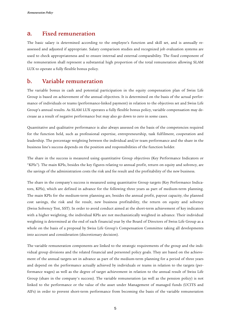#### <span id="page-4-0"></span>a. Fixed remuneration

The basic salary is determined according to the employee's function and skill set, and is annually reassessed and adjusted if appropriate. Salary comparison studies and recognized job evaluation systems are used to check appropriateness and to ensure internal and external comparability. The fixed component of the remuneration shall represent a substantial high proportion of the total remuneration allowing SLAM LUX to operate a fully flexible bonus policy.

#### <span id="page-4-1"></span>b. Variable remuneration

The variable bonus in cash and potential participation in the equity compensation plan of Swiss Life Group is based on achievement of the annual objectives. It is determined on the basis of the actual performance of individuals or teams (performance-linked payment) in relation to the objectives set and Swiss Life Group's annual results. As SLAM LUX operates a fully flexible bonus policy, variable compensation may decrease as a result of negative performance but may also go down to zero in some cases.

Quantitative and qualitative performance is also always assessed on the basis of the competencies required for the function held, such as professional expertise, entrepreneurship, task fulfilment, cooperation and leadership. The percentage weighting between the individual and/or team performance and the share in the business line's success depends on the position and responsibilities of the function holder.

The share in the success is measured using quantitative Group objectives (Key Performance Indicators or "KPIs"). The main KPIs, besides the key figures relating to annual profit, return on equity and solvency, are the savings of the administration costs the risk and fee result and the profitability of the new business.

The share in the company's success is measured using quantitative Group targets (Key Performance Indicators, KPIs), which are defined in advance for the following three years as part of medium-term planning. The main KPIs for the medium-term planning are, besides the annual profit, payout capacity, the planned cost savings, the risk and fee result, new business profitability, the return on equity and solvency (Swiss Solvency Test, SST). In order to avoid conduct aimed at the short-term achievement of key indicators with a higher weighting, the individual KPIs are not mechanistically weighted in advance. Their individual weighting is determined at the end of each financial year by the Board of Directors of Swiss Life Group as a whole on the basis of a proposal by Swiss Life Group's Compensation Committee taking all developments into account and consideration (discretionary decision).

The variable remuneration components are linked to the strategic requirements of the group and the individual group divisions and the related financial and personnel policy goals. They are based on the achievement of the annual targets set in advance as part of the medium-term planning for a period of three years and depend on the performance actually achieved by individuals or teams in relation to the targets (performance wages) as well as the degree of target achievement in relation to the annual result of Swiss Life Group (share in the company's success). The variable remuneration (as well as the pension policy) is not linked to the performance or the value of the asset under Management of managed funds (UCITS and AIFs) in order to prevent short-term performance from becoming the basis of the variable remuneration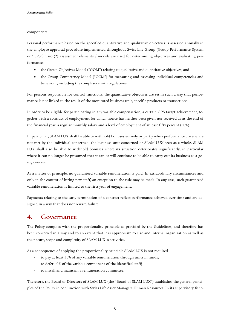components.

Personal performance based on the specified quantitative and qualitative objectives is assessed annually in the employee appraisal procedure implemented throughout Swiss Life Group (Group Performance System or "GPS"). Two (2) assessment elements / models are used for determining objectives and evaluating performance:

- the Group Objectives Model ("GOM") relating to qualitative and quantitative objectives; and
- the Group Competency Model ("GCM") for measuring and assessing individual competencies and behaviour, including the compliance with regulations.

For persons responsible for control functions, the quantitative objectives are set in such a way that performance is not linked to the result of the monitored business unit, specific products or transactions.

In order to be eligible for participating in any variable compensation, a certain GPS target achievement, together with a contract of employment for which notice has neither been given nor received as at the end of the financial year, a regular monthly salary and a level of employment of at least fifty percent (50%).

In particular, SLAM LUX shall be able to withhold bonuses entirely or partly when performance criteria are not met by the individual concerned, the business unit concerned or SLAM LUX seen as a whole. SLAM LUX shall also be able to withhold bonuses where its situation deteriorates significantly, in particular where it can no longer be presumed that it can or will continue to be able to carry out its business as a going concern.

As a matter of principle, no guaranteed variable remuneration is paid. In extraordinary circumstances and only in the context of hiring new staff, an exception to the rule may be made. In any case, such guaranteed variable remuneration is limited to the first year of engagement.

Payments relating to the early termination of a contract reflect performance achieved over time and are designed in a way that does not reward failure.

#### <span id="page-5-0"></span>4. Governance

The Policy complies with the proportionality principle as provided by the Guidelines, and therefore has been conceived in a way and to an extent that it is appropriate to size and internal organization as well as the nature, scope and complexity of SLAM LUX`s activities.

As a consequence of applying the proportionality principle SLAM LUX is not required

- to pay at least 50% of any variable remuneration through units in funds;
- to defer 40% of the variable component of the identified staff;
- to install and maintain a remuneration committee.

Therefore, the Board of Directors of SLAM LUX (the "Board of SLAM LUX") establishes the general principles of the Policy in conjunction with Swiss Life Asset Managers Human Resources. In its supervisory func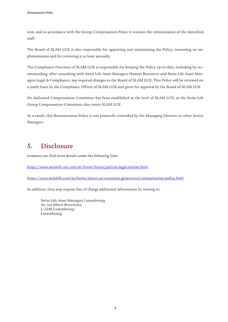tion, and in accordance with the Group Compensation Policy it oversees the remuneration of the identified staff.

The Board of SLAM LUX is also responsible for approving and maintaining the Policy, overseeing its implementation and for reviewing it at least annually.

The Compliance Function of SLAM LUX is responsible for keeping the Policy up-to-date, including by recommending, after consulting with Swiss Life Asset Managers Human Resources and Swiss Life Asset Managers Legal & Compliance, any required changes to the Board of SLAM LUX. This Policy will be reviewed on a yearly basis by the Compliance Officer of SLAM LUX and given for approval by the Board of SLAM LUX.

No dedicated Compensation Committee has been established at the level of SLAM LUX, as the Swiss Life Group Compensation Committee also covers SLAM LUX.

As a result, this Remuneration Policy is not primarily controlled by the Managing Director or other Senior Managers.

# <span id="page-6-0"></span>5. Disclosure

Investors can find more details under the following links:

<https://www.swisslife-am.com/en/home/footer/policies-legal-entities.html>

<https://www.swisslife.com/en/home/about-us/corporate-governance/compensation-policy.html>

In addition, they may request free of charge additional information by writing to:

Swiss Life Asset Managers Luxembourg 4a, rue Albert Borschette L-1246 Luxembourg Luxembourg